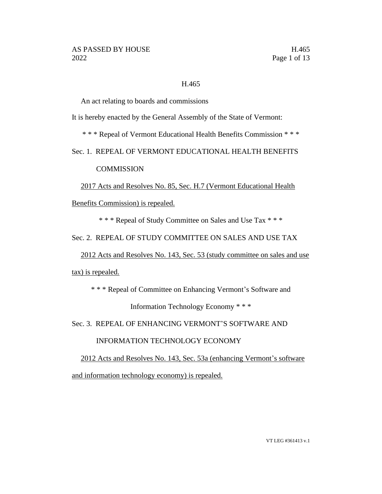# H.465

An act relating to boards and commissions

It is hereby enacted by the General Assembly of the State of Vermont:

\* \* \* Repeal of Vermont Educational Health Benefits Commission \* \* \*

Sec. 1. REPEAL OF VERMONT EDUCATIONAL HEALTH BENEFITS

**COMMISSION** 

2017 Acts and Resolves No. 85, Sec. H.7 (Vermont Educational Health

Benefits Commission) is repealed.

\* \* \* Repeal of Study Committee on Sales and Use Tax \* \* \*

Sec. 2. REPEAL OF STUDY COMMITTEE ON SALES AND USE TAX

2012 Acts and Resolves No. 143, Sec. 53 (study committee on sales and use

tax) is repealed.

\* \* \* Repeal of Committee on Enhancing Vermont's Software and

Information Technology Economy \* \* \*

Sec. 3. REPEAL OF ENHANCING VERMONT'S SOFTWARE AND

INFORMATION TECHNOLOGY ECONOMY

2012 Acts and Resolves No. 143, Sec. 53a (enhancing Vermont's software and information technology economy) is repealed.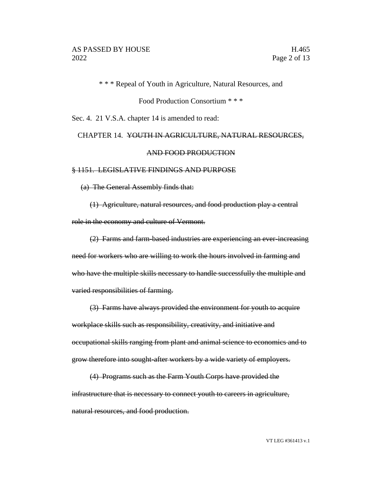\* \* \* Repeal of Youth in Agriculture, Natural Resources, and

Food Production Consortium \* \* \*

Sec. 4. 21 V.S.A. chapter 14 is amended to read:

# CHAPTER 14. YOUTH IN AGRICULTURE, NATURAL RESOURCES, AND FOOD PRODUCTION

#### § 1151. LEGISLATIVE FINDINGS AND PURPOSE

(a) The General Assembly finds that:

(1) Agriculture, natural resources, and food production play a central role in the economy and culture of Vermont.

(2) Farms and farm-based industries are experiencing an ever-increasing need for workers who are willing to work the hours involved in farming and who have the multiple skills necessary to handle successfully the multiple and varied responsibilities of farming.

(3) Farms have always provided the environment for youth to acquire workplace skills such as responsibility, creativity, and initiative and occupational skills ranging from plant and animal science to economics and to grow therefore into sought-after workers by a wide variety of employers.

(4) Programs such as the Farm Youth Corps have provided the infrastructure that is necessary to connect youth to careers in agriculture, natural resources, and food production.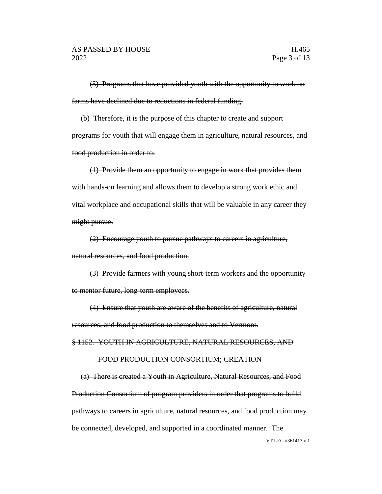(5) Programs that have provided youth with the opportunity to work on farms have declined due to reductions in federal funding.

(b) Therefore, it is the purpose of this chapter to create and support programs for youth that will engage them in agriculture, natural resources, and food production in order to:

(1) Provide them an opportunity to engage in work that provides them with hands-on learning and allows them to develop a strong work ethic and vital workplace and occupational skills that will be valuable in any career they might pursue.

(2) Encourage youth to pursue pathways to careers in agriculture, natural resources, and food production.

(3) Provide farmers with young short-term workers and the opportunity to mentor future, long-term employees.

(4) Ensure that youth are aware of the benefits of agriculture, natural resources, and food production to themselves and to Vermont.

§ 1152. YOUTH IN AGRICULTURE, NATURAL RESOURCES, AND

## FOOD PRODUCTION CONSORTIUM; CREATION

(a) There is created a Youth in Agriculture, Natural Resources, and Food Production Consortium of program providers in order that programs to build pathways to careers in agriculture, natural resources, and food production may be connected, developed, and supported in a coordinated manner. The

VT LEG #361413 v.1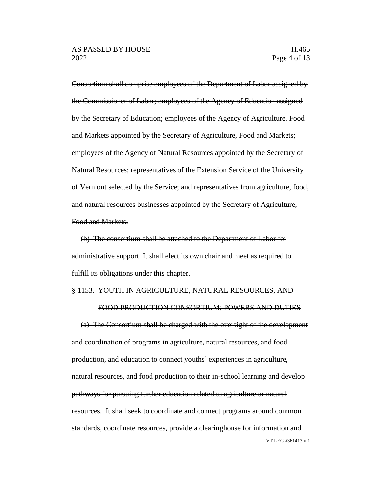Consortium shall comprise employees of the Department of Labor assigned by the Commissioner of Labor; employees of the Agency of Education assigned by the Secretary of Education; employees of the Agency of Agriculture, Food and Markets appointed by the Secretary of Agriculture, Food and Markets; employees of the Agency of Natural Resources appointed by the Secretary of Natural Resources; representatives of the Extension Service of the University of Vermont selected by the Service; and representatives from agriculture, food, and natural resources businesses appointed by the Secretary of Agriculture, Food and Markets.

(b) The consortium shall be attached to the Department of Labor for administrative support. It shall elect its own chair and meet as required to fulfill its obligations under this chapter.

#### § 1153. YOUTH IN AGRICULTURE, NATURAL RESOURCES, AND

#### FOOD PRODUCTION CONSORTIUM; POWERS AND DUTIES

VT LEG #361413 v.1 (a) The Consortium shall be charged with the oversight of the development and coordination of programs in agriculture, natural resources, and food production, and education to connect youths' experiences in agriculture, natural resources, and food production to their in-school learning and develop pathways for pursuing further education related to agriculture or natural resources. It shall seek to coordinate and connect programs around common standards, coordinate resources, provide a clearinghouse for information and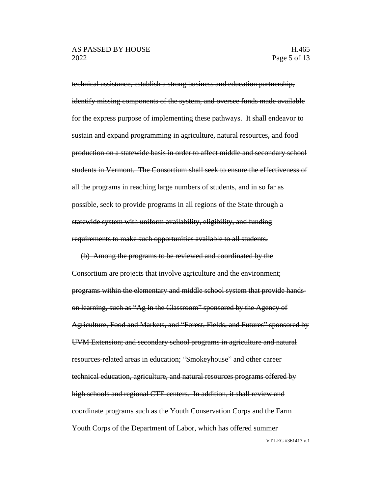technical assistance, establish a strong business and education partnership, identify missing components of the system, and oversee funds made available for the express purpose of implementing these pathways. It shall endeavor to sustain and expand programming in agriculture, natural resources, and food production on a statewide basis in order to affect middle and secondary school students in Vermont. The Consortium shall seek to ensure the effectiveness of all the programs in reaching large numbers of students, and in so far as possible, seek to provide programs in all regions of the State through a statewide system with uniform availability, eligibility, and funding requirements to make such opportunities available to all students.

(b) Among the programs to be reviewed and coordinated by the Consortium are projects that involve agriculture and the environment; programs within the elementary and middle school system that provide handson learning, such as "Ag in the Classroom" sponsored by the Agency of Agriculture, Food and Markets, and "Forest, Fields, and Futures" sponsored by UVM Extension; and secondary school programs in agriculture and natural resources-related areas in education; "Smokeyhouse" and other career technical education, agriculture, and natural resources programs offered by high schools and regional CTE centers. In addition, it shall review and coordinate programs such as the Youth Conservation Corps and the Farm Youth Corps of the Department of Labor, which has offered summer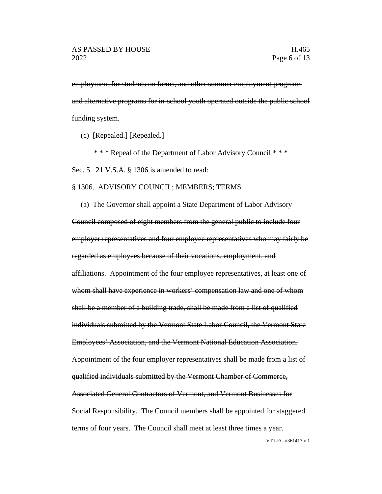employment for students on farms, and other summer employment programs and alternative programs for in-school youth operated outside the public school funding system.

(c) [Repealed.] [Repealed.]

\* \* \* Repeal of the Department of Labor Advisory Council \* \* \*

Sec. 5. 21 V.S.A. § 1306 is amended to read:

## § 1306. ADVISORY COUNCIL; MEMBERS; TERMS

(a) The Governor shall appoint a State Department of Labor Advisory Council composed of eight members from the general public to include four employer representatives and four employee representatives who may fairly be regarded as employees because of their vocations, employment, and affiliations. Appointment of the four employee representatives, at least one of whom shall have experience in workers' compensation law and one of whom shall be a member of a building trade, shall be made from a list of qualified individuals submitted by the Vermont State Labor Council, the Vermont State Employees' Association, and the Vermont National Education Association. Appointment of the four employer representatives shall be made from a list of qualified individuals submitted by the Vermont Chamber of Commerce, Associated General Contractors of Vermont, and Vermont Businesses for Social Responsibility. The Council members shall be appointed for staggered terms of four years. The Council shall meet at least three times a year.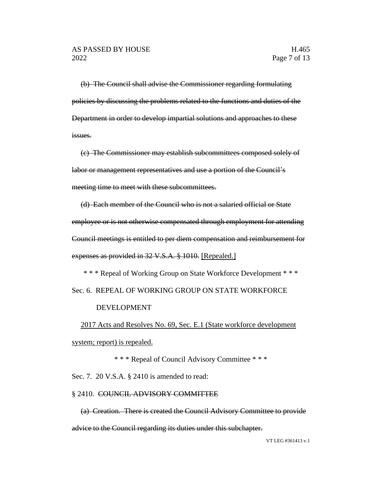(b) The Council shall advise the Commissioner regarding formulating policies by discussing the problems related to the functions and duties of the Department in order to develop impartial solutions and approaches to these issues.

(c) The Commissioner may establish subcommittees composed solely of labor or management representatives and use a portion of the Council's meeting time to meet with these subcommittees.

(d) Each member of the Council who is not a salaried official or State employee or is not otherwise compensated through employment for attending Council meetings is entitled to per diem compensation and reimbursement for expenses as provided in 32 V.S.A. § 1010. [Repealed.]

\* \* \* Repeal of Working Group on State Workforce Development \* \* \* Sec. 6. REPEAL OF WORKING GROUP ON STATE WORKFORCE

## DEVELOPMENT

2017 Acts and Resolves No. 69, Sec. E.1 (State workforce development system; report) is repealed.

\* \* \* Repeal of Council Advisory Committee \* \* \*

Sec. 7. 20 V.S.A. § 2410 is amended to read:

## § 2410. COUNCIL ADVISORY COMMITTEE

(a) Creation. There is created the Council Advisory Committee to provide advice to the Council regarding its duties under this subchapter.

VT LEG #361413 v.1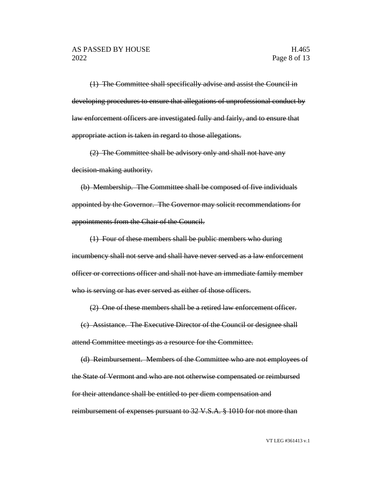(1) The Committee shall specifically advise and assist the Council in developing procedures to ensure that allegations of unprofessional conduct by law enforcement officers are investigated fully and fairly, and to ensure that appropriate action is taken in regard to those allegations.

(2) The Committee shall be advisory only and shall not have any decision-making authority.

(b) Membership. The Committee shall be composed of five individuals appointed by the Governor. The Governor may solicit recommendations for appointments from the Chair of the Council.

(1) Four of these members shall be public members who during incumbency shall not serve and shall have never served as a law enforcement officer or corrections officer and shall not have an immediate family member who is serving or has ever served as either of those officers.

(2) One of these members shall be a retired law enforcement officer.

(c) Assistance. The Executive Director of the Council or designee shall attend Committee meetings as a resource for the Committee.

(d) Reimbursement. Members of the Committee who are not employees of the State of Vermont and who are not otherwise compensated or reimbursed for their attendance shall be entitled to per diem compensation and reimbursement of expenses pursuant to 32 V.S.A. § 1010 for not more than

VT LEG #361413 v.1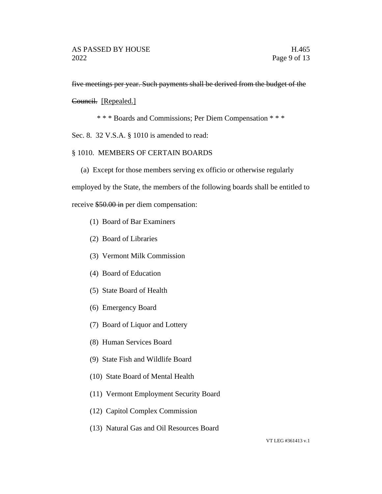five meetings per year. Such payments shall be derived from the budget of the

Council. [Repealed.]

\* \* \* Boards and Commissions; Per Diem Compensation \* \* \*

Sec. 8. 32 V.S.A. § 1010 is amended to read:

# § 1010. MEMBERS OF CERTAIN BOARDS

(a) Except for those members serving ex officio or otherwise regularly

employed by the State, the members of the following boards shall be entitled to

receive \$50.00 in per diem compensation:

- (1) Board of Bar Examiners
- (2) Board of Libraries
- (3) Vermont Milk Commission
- (4) Board of Education
- (5) State Board of Health
- (6) Emergency Board
- (7) Board of Liquor and Lottery
- (8) Human Services Board
- (9) State Fish and Wildlife Board
- (10) State Board of Mental Health
- (11) Vermont Employment Security Board
- (12) Capitol Complex Commission
- (13) Natural Gas and Oil Resources Board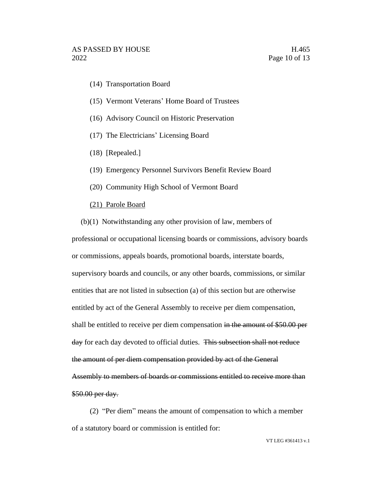- (14) Transportation Board
- (15) Vermont Veterans' Home Board of Trustees
- (16) Advisory Council on Historic Preservation
- (17) The Electricians' Licensing Board
- (18) [Repealed.]
- (19) Emergency Personnel Survivors Benefit Review Board
- (20) Community High School of Vermont Board
- (21) Parole Board
- (b)(1) Notwithstanding any other provision of law, members of

professional or occupational licensing boards or commissions, advisory boards or commissions, appeals boards, promotional boards, interstate boards, supervisory boards and councils, or any other boards, commissions, or similar entities that are not listed in subsection (a) of this section but are otherwise entitled by act of the General Assembly to receive per diem compensation, shall be entitled to receive per diem compensation in the amount of \$50.00 per day for each day devoted to official duties. This subsection shall not reduce the amount of per diem compensation provided by act of the General Assembly to members of boards or commissions entitled to receive more than \$50.00 per day.

(2) "Per diem" means the amount of compensation to which a member of a statutory board or commission is entitled for: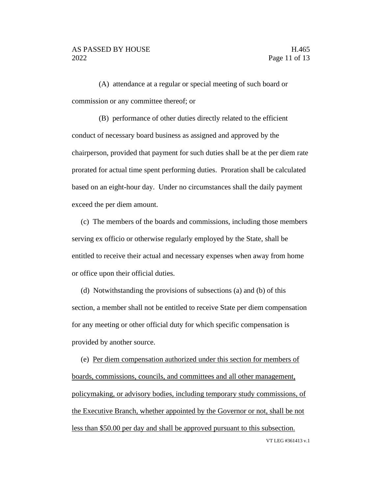(A) attendance at a regular or special meeting of such board or commission or any committee thereof; or

(B) performance of other duties directly related to the efficient conduct of necessary board business as assigned and approved by the chairperson, provided that payment for such duties shall be at the per diem rate prorated for actual time spent performing duties. Proration shall be calculated based on an eight-hour day. Under no circumstances shall the daily payment exceed the per diem amount.

(c) The members of the boards and commissions, including those members serving ex officio or otherwise regularly employed by the State, shall be entitled to receive their actual and necessary expenses when away from home or office upon their official duties.

(d) Notwithstanding the provisions of subsections (a) and (b) of this section, a member shall not be entitled to receive State per diem compensation for any meeting or other official duty for which specific compensation is provided by another source.

VT LEG #361413 v.1 (e) Per diem compensation authorized under this section for members of boards, commissions, councils, and committees and all other management, policymaking, or advisory bodies, including temporary study commissions, of the Executive Branch, whether appointed by the Governor or not, shall be not less than \$50.00 per day and shall be approved pursuant to this subsection.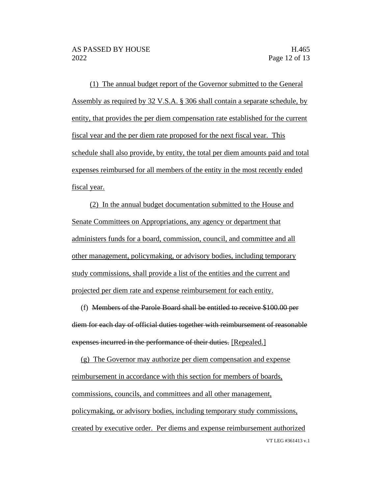(1) The annual budget report of the Governor submitted to the General Assembly as required by 32 V.S.A. § 306 shall contain a separate schedule, by entity, that provides the per diem compensation rate established for the current fiscal year and the per diem rate proposed for the next fiscal year. This schedule shall also provide, by entity, the total per diem amounts paid and total expenses reimbursed for all members of the entity in the most recently ended fiscal year.

(2) In the annual budget documentation submitted to the House and Senate Committees on Appropriations, any agency or department that administers funds for a board, commission, council, and committee and all other management, policymaking, or advisory bodies, including temporary study commissions, shall provide a list of the entities and the current and projected per diem rate and expense reimbursement for each entity.

(f) Members of the Parole Board shall be entitled to receive \$100.00 per diem for each day of official duties together with reimbursement of reasonable expenses incurred in the performance of their duties. [Repealed.]

VT LEG #361413 v.1 (g) The Governor may authorize per diem compensation and expense reimbursement in accordance with this section for members of boards, commissions, councils, and committees and all other management, policymaking, or advisory bodies, including temporary study commissions, created by executive order. Per diems and expense reimbursement authorized